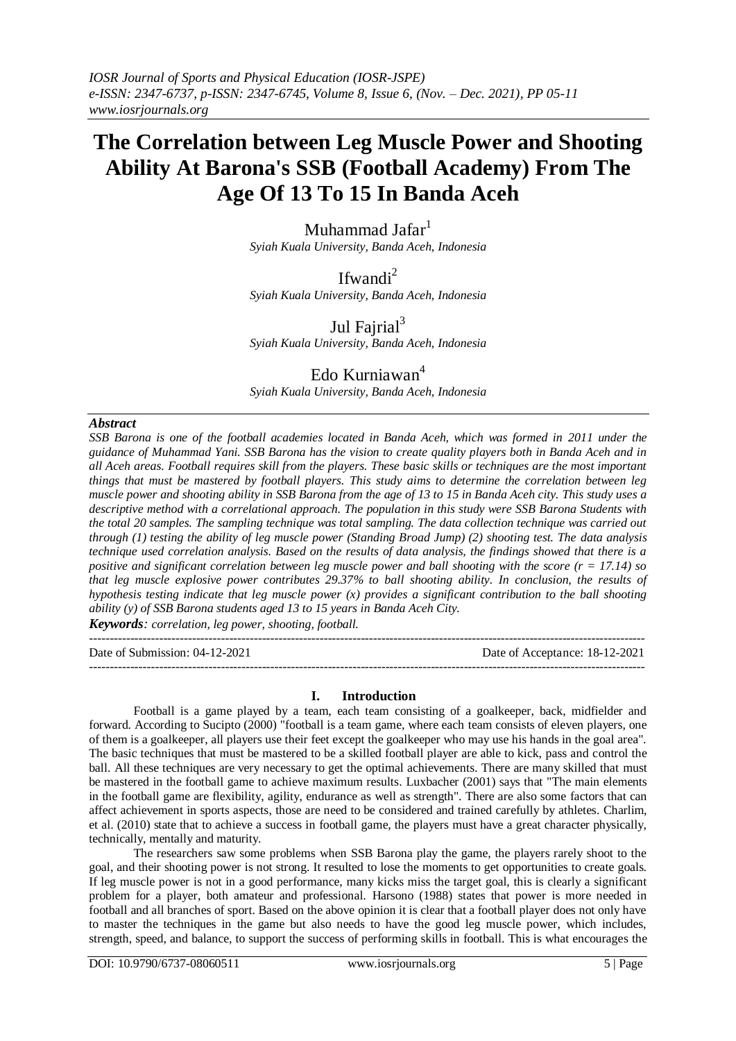# **The Correlation between Leg Muscle Power and Shooting Ability At Barona's SSB (Football Academy) From The Age Of 13 To 15 In Banda Aceh**

Muhammad Jafar<sup>1</sup> *Syiah Kuala University, Banda Aceh, Indonesia*

Ifwandi $^2$ *Syiah Kuala University, Banda Aceh, Indonesia*

Jul Fajrial $3$ *Syiah Kuala University, Banda Aceh, Indonesia*

# Edo Kurniawan<sup>4</sup>

*Syiah Kuala University, Banda Aceh, Indonesia*

# *Abstract*

*SSB Barona is one of the football academies located in Banda Aceh, which was formed in 2011 under the guidance of Muhammad Yani. SSB Barona has the vision to create quality players both in Banda Aceh and in all Aceh areas. Football requires skill from the players. These basic skills or techniques are the most important things that must be mastered by football players. This study aims to determine the correlation between leg muscle power and shooting ability in SSB Barona from the age of 13 to 15 in Banda Aceh city. This study uses a descriptive method with a correlational approach. The population in this study were SSB Barona Students with the total 20 samples. The sampling technique was total sampling. The data collection technique was carried out through (1) testing the ability of leg muscle power (Standing Broad Jump) (2) shooting test. The data analysis technique used correlation analysis. Based on the results of data analysis, the findings showed that there is a positive and significant correlation between leg muscle power and ball shooting with the score (r = 17.14) so that leg muscle explosive power contributes 29.37% to ball shooting ability. In conclusion, the results of hypothesis testing indicate that leg muscle power (x) provides a significant contribution to the ball shooting ability (y) of SSB Barona students aged 13 to 15 years in Banda Aceh City.*

*Keywords: correlation, leg power, shooting, football.*

Date of Submission: 04-12-2021 Date of Acceptance: 18-12-2021

# **I. Introduction**

---------------------------------------------------------------------------------------------------------------------------------------

---------------------------------------------------------------------------------------------------------------------------------------

Football is a game played by a team, each team consisting of a goalkeeper, back, midfielder and forward. According to Sucipto (2000) "football is a team game, where each team consists of eleven players, one of them is a goalkeeper, all players use their feet except the goalkeeper who may use his hands in the goal area". The basic techniques that must be mastered to be a skilled football player are able to kick, pass and control the ball. All these techniques are very necessary to get the optimal achievements. There are many skilled that must be mastered in the football game to achieve maximum results. Luxbacher (2001) says that "The main elements in the football game are flexibility, agility, endurance as well as strength". There are also some factors that can affect achievement in sports aspects, those are need to be considered and trained carefully by athletes. Charlim, et al. (2010) state that to achieve a success in football game, the players must have a great character physically, technically, mentally and maturity.

The researchers saw some problems when SSB Barona play the game, the players rarely shoot to the goal, and their shooting power is not strong. It resulted to lose the moments to get opportunities to create goals. If leg muscle power is not in a good performance, many kicks miss the target goal, this is clearly a significant problem for a player, both amateur and professional. Harsono (1988) states that power is more needed in football and all branches of sport. Based on the above opinion it is clear that a football player does not only have to master the techniques in the game but also needs to have the good leg muscle power, which includes, strength, speed, and balance, to support the success of performing skills in football. This is what encourages the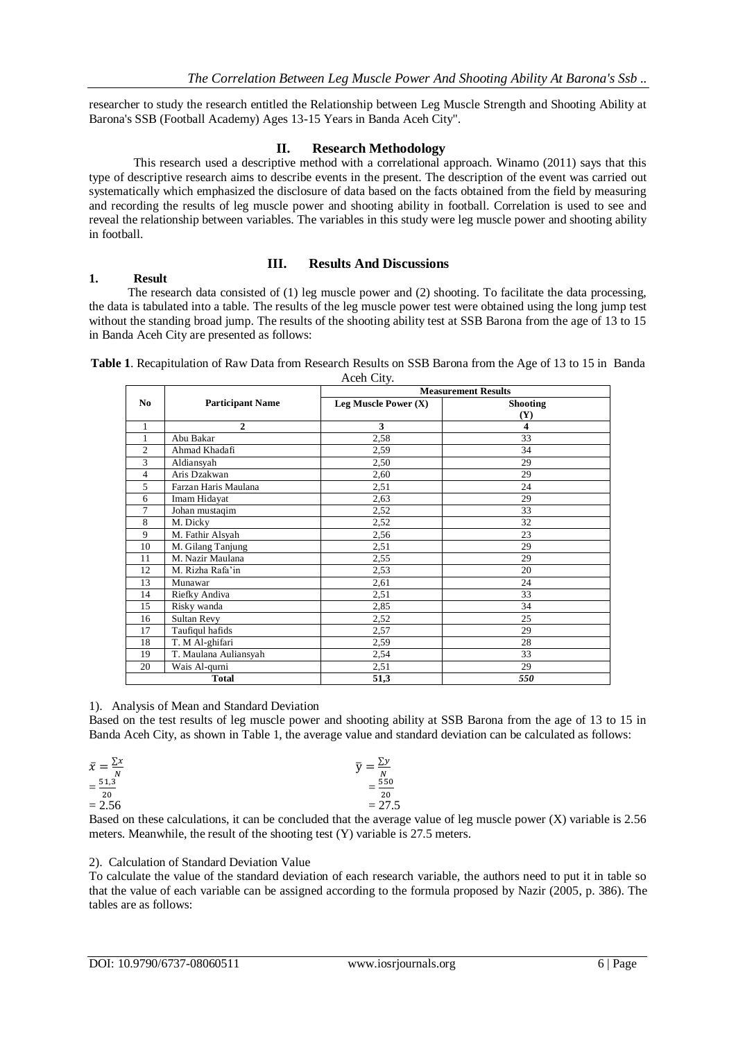researcher to study the research entitled the Relationship between Leg Muscle Strength and Shooting Ability at Barona's SSB (Football Academy) Ages 13-15 Years in Banda Aceh City".

# **II. Research Methodology**

This research used a descriptive method with a correlational approach. Winamo (2011) says that this type of descriptive research aims to describe events in the present. The description of the event was carried out systematically which emphasized the disclosure of data based on the facts obtained from the field by measuring and recording the results of leg muscle power and shooting ability in football. Correlation is used to see and reveal the relationship between variables. The variables in this study were leg muscle power and shooting ability in football.

# **III. Results And Discussions**

# **1. Result**

The research data consisted of (1) leg muscle power and (2) shooting. To facilitate the data processing, the data is tabulated into a table. The results of the leg muscle power test were obtained using the long jump test without the standing broad jump. The results of the shooting ability test at SSB Barona from the age of 13 to 15 in Banda Aceh City are presented as follows:

**Table 1**. Recapitulation of Raw Data from Research Results on SSB Barona from the Age of 13 to 15 in Banda Aceh City.

|                |                         | <b>Measurement Results</b> |                 |  |  |  |
|----------------|-------------------------|----------------------------|-----------------|--|--|--|
| N <sub>0</sub> | <b>Participant Name</b> | Leg Muscle Power $(X)$     | <b>Shooting</b> |  |  |  |
|                |                         |                            | <b>(Y)</b>      |  |  |  |
| 1              | $\mathbf{2}$            | 3                          | 4               |  |  |  |
| 1              | Abu Bakar               | 2,58                       | 33              |  |  |  |
| 2              | Ahmad Khadafi           | 2,59                       | 34              |  |  |  |
| 3              | Aldiansyah              | 2,50                       | 29              |  |  |  |
| 4              | Aris Dzakwan            | 2,60                       | 29              |  |  |  |
| 5              | Farzan Haris Maulana    | 2,51                       | 24              |  |  |  |
| 6              | Imam Hidayat            | 2,63                       | 29              |  |  |  |
| 7              | Johan mustaqim          | 2,52                       | 33              |  |  |  |
| 8              | M. Dicky                | 2,52                       | 32              |  |  |  |
| 9              | M. Fathir Alsyah        | 2,56                       | 23              |  |  |  |
| 10             | M. Gilang Tanjung       | 2,51                       | 29              |  |  |  |
| 11             | M. Nazir Maulana        | 2,55                       | 29              |  |  |  |
| 12             | M. Rizha Rafa'in        | 2,53                       | 20              |  |  |  |
| 13             | Munawar                 | 2,61                       | 24              |  |  |  |
| 14             | Riefky Andiva           | 2,51                       | 33              |  |  |  |
| 15             | Risky wanda             | 2,85                       | 34              |  |  |  |
| 16             | Sultan Revy             | 2,52                       | 25              |  |  |  |
| 17             | Taufiqul hafids         | 2,57                       | 29              |  |  |  |
| 18             | T. M Al-ghifari         | 2,59                       | 28              |  |  |  |
| 19             | T. Maulana Auliansyah   | 2,54                       | 33              |  |  |  |
| 20             | Wais Al-qurni           | 2,51                       | 29              |  |  |  |
|                | <b>Total</b>            | 51,3                       | 550             |  |  |  |

# 1). Analysis of Mean and Standard Deviation

Based on the test results of leg muscle power and shooting ability at SSB Barona from the age of 13 to 15 in Banda Aceh City, as shown in Table 1, the average value and standard deviation can be calculated as follows:

$$
\begin{aligned}\n\bar{x} &= \frac{\sum x}{N} \\
&= \frac{51.3}{20} \\
&= 2.56\n\end{aligned}
$$
\n
$$
\begin{aligned}\n\bar{y} &= \frac{\sum y}{N} \\
&= \frac{550}{20} \\
&= 27.5\n\end{aligned}
$$

Based on these calculations, it can be concluded that the average value of leg muscle power (X) variable is 2.56 meters. Meanwhile, the result of the shooting test (Y) variable is 27.5 meters.

# 2). Calculation of Standard Deviation Value

To calculate the value of the standard deviation of each research variable, the authors need to put it in table so that the value of each variable can be assigned according to the formula proposed by Nazir (2005, p. 386). The tables are as follows: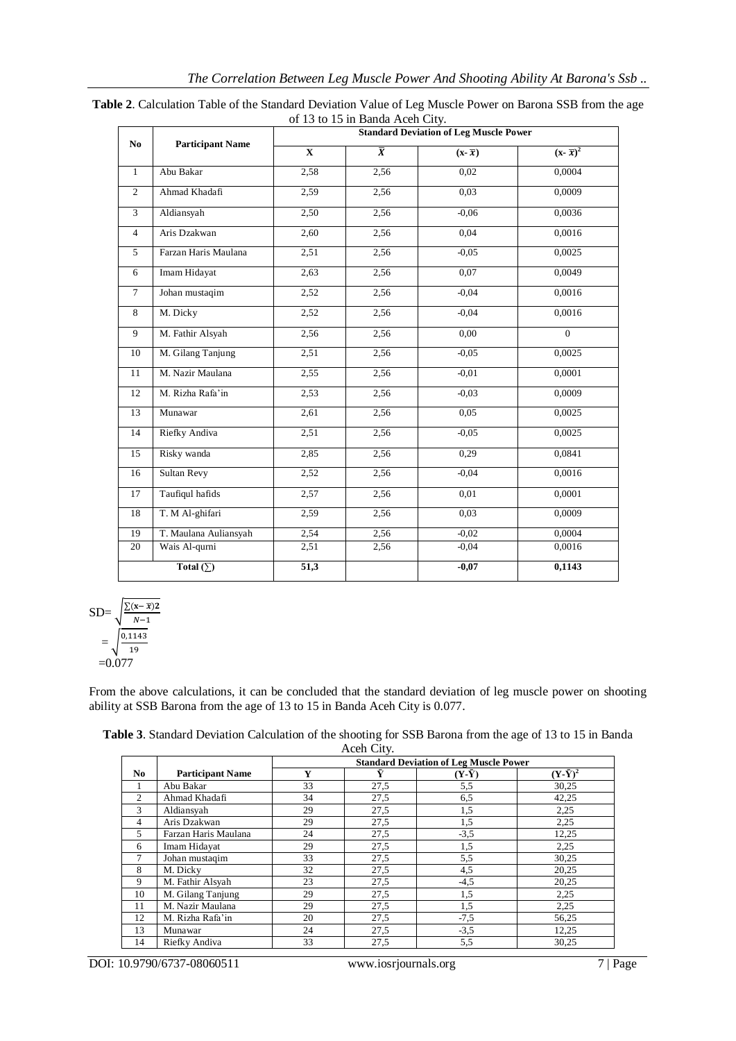|                | <b>Participant Name</b> | <b>Standard Deviation of Leg Muscle Power</b> |                |                                      |                      |  |
|----------------|-------------------------|-----------------------------------------------|----------------|--------------------------------------|----------------------|--|
| N <sub>0</sub> |                         | $\mathbf X$                                   | $\overline{X}$ | $(\mathbf{x}-\overline{\mathbf{x}})$ | $(x-\overline{x})^2$ |  |
| 1              | Abu Bakar               | 2,58                                          | 2,56           | 0,02                                 | 0,0004               |  |
| $\overline{2}$ | Ahmad Khadafi           | 2,59                                          | 2,56           | 0,03                                 | 0,0009               |  |
| $\overline{3}$ | Aldiansyah              | 2,50                                          | 2,56           | $-0.06$                              | 0,0036               |  |
| $\overline{4}$ | Aris Dzakwan            | 2,60                                          | 2,56           | 0,04                                 | 0,0016               |  |
| 5              | Farzan Haris Maulana    | 2,51                                          | 2,56           | $-0.05$                              | 0,0025               |  |
| 6              | Imam Hidayat            | 2,63                                          | 2,56           | 0,07                                 | 0,0049               |  |
| $\tau$         | Johan mustaqim          | 2,52                                          | 2,56           | $-0.04$                              | 0,0016               |  |
| 8              | M. Dicky                | 2,52                                          | 2,56           | $-0.04$                              | 0,0016               |  |
| 9              | M. Fathir Alsyah        | 2,56                                          | 2,56           | 0,00                                 | $\Omega$             |  |
| 10             | M. Gilang Tanjung       | 2,51                                          | 2,56           | $-0.05$                              | 0,0025               |  |
| 11             | M. Nazir Maulana        | 2,55                                          | 2,56           | $-0,01$                              | 0,0001               |  |
| 12             | M. Rizha Rafa'in        | 2,53                                          | 2,56           | $-0.03$                              | 0,0009               |  |
| 13             | Munawar                 | 2,61                                          | 2,56           | 0.05                                 | 0,0025               |  |
| 14             | Riefky Andiva           | 2,51                                          | 2,56           | $-0,05$                              | 0,0025               |  |
| 15             | Risky wanda             | 2,85                                          | 2,56           | 0,29                                 | 0,0841               |  |
| 16             | Sultan Revy             | 2,52                                          | 2,56           | $-0.04$                              | 0,0016               |  |
| 17             | Taufiqul hafids         | 2,57                                          | 2,56           | 0,01                                 | 0,0001               |  |
| 18             | T. M Al-ghifari         | 2,59                                          | 2,56           | 0,03                                 | 0,0009               |  |
| 19             | T. Maulana Auliansyah   | 2,54                                          | 2,56           | $-0.02$                              | 0,0004               |  |
| 20             | Wais Al-qurni           | 2,51                                          | 2,56           | $-0,04$                              | 0,0016               |  |
|                | Total $(\sum)$          | $\overline{51,3}$                             |                | $-0,07$                              | 0,1143               |  |

| Table 2. Calculation Table of the Standard Deviation Value of Leg Muscle Power on Barona SSB from the age |                                 |  |  |
|-----------------------------------------------------------------------------------------------------------|---------------------------------|--|--|
|                                                                                                           | of 13 to 15 in Banda Aceh City. |  |  |

SD=
$$
\sqrt{\frac{\sum (x-\bar{x})^2}{N-1}}
$$
  
= $\sqrt{\frac{0,1143}{19}}$   
=0.077

From the above calculations, it can be concluded that the standard deviation of leg muscle power on shooting ability at SSB Barona from the age of 13 to 15 in Banda Aceh City is 0.077.

| Table 3. Standard Deviation Calculation of the shooting for SSB Barona from the age of 13 to 15 in Banda |            |  |
|----------------------------------------------------------------------------------------------------------|------------|--|
|                                                                                                          | Aceh City. |  |

|     |                         | <b>Standard Deviation of Leg Muscle Power</b> |      |               |                   |
|-----|-------------------------|-----------------------------------------------|------|---------------|-------------------|
| No. | <b>Participant Name</b> | Y                                             |      | $(Y-\bar{Y})$ | $(Y - \bar{Y})^2$ |
|     | Abu Bakar               | 33                                            | 27,5 | 5,5           | 30,25             |
| 2   | Ahmad Khadafi           | 34                                            | 27,5 | 6,5           | 42,25             |
| 3   | Aldiansyah              | 29                                            | 27,5 | 1,5           | 2,25              |
| 4   | Aris Dzakwan            | 29                                            | 27,5 | 1,5           | 2,25              |
| 5   | Farzan Haris Maulana    | 24                                            | 27,5 | $-3,5$        | 12,25             |
| 6   | Imam Hidayat            | 29                                            | 27,5 | 1,5           | 2,25              |
| 7   | Johan mustaqim          | 33                                            | 27,5 | 5,5           | 30,25             |
| 8   | M. Dicky                | 32                                            | 27,5 | 4,5           | 20,25             |
| 9   | M. Fathir Alsyah        | 23                                            | 27,5 | $-4,5$        | 20,25             |
| 10  | M. Gilang Tanjung       | 29                                            | 27,5 | 1,5           | 2,25              |
| 11  | M. Nazir Maulana        | 29                                            | 27,5 | 1,5           | 2,25              |
| 12  | M. Rizha Rafa'in        | 20                                            | 27,5 | $-7,5$        | 56,25             |
| 13  | Munawar                 | 24                                            | 27,5 | $-3,5$        | 12,25             |
| 14  | Riefky Andiva           | 33                                            | 27,5 | 5,5           | 30,25             |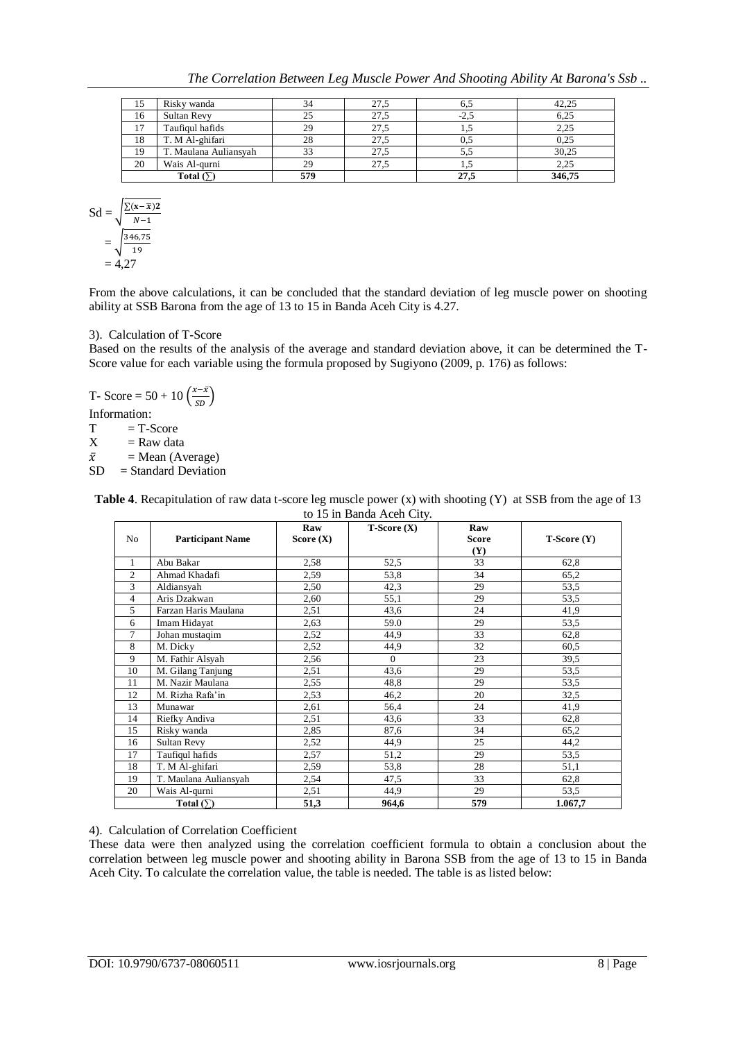*The Correlation Between Leg Muscle Power And Shooting Ability At Barona's Ssb ..*

| 15 | Risky wanda           | 34  |      | 0.3           | 42,25  |
|----|-----------------------|-----|------|---------------|--------|
| 16 | Sultan Revy           | 25  |      | $-L_{\infty}$ | 6,25   |
|    | Taufiqul hafids       | 29  |      |               | 2,25   |
| 18 | T. M Al-ghifari       | 28  |      | U.E           | 0,25   |
| 19 | T. Maulana Auliansyah | 33  | 27.5 | 5.5           | 30,25  |
| 20 | Wais Al-qurni         | 29  |      | 1.0           | 2,25   |
|    | Total $($             | 579 |      | 27.5          | 346,75 |

$$
Sd = \sqrt{\frac{\sum (x - \bar{x})^2}{N-1}}
$$
  
=  $\sqrt{\frac{346.75}{19}}$   
= 4.27

From the above calculations, it can be concluded that the standard deviation of leg muscle power on shooting ability at SSB Barona from the age of 13 to 15 in Banda Aceh City is 4.27.

# 3). Calculation of T-Score

Based on the results of the analysis of the average and standard deviation above, it can be determined the T-Score value for each variable using the formula proposed by Sugiyono (2009, p. 176) as follows:

T- Score = 
$$
50 + 10 \left( \frac{x - \bar{x}}{SD} \right)
$$

Information:

 $T = T-Score$ 

$$
X = \text{Raw data}
$$

 $\bar{x}$  = Mean (Average)

 $SD = Standard Deviation$ 

| <b>Table 4.</b> Recapitulation of raw data t-score leg muscle power (x) with shooting (Y) at SSB from the age of 13 |
|---------------------------------------------------------------------------------------------------------------------|
| to 15 in Banda Aceh City.                                                                                           |

| No             | <b>Participant Name</b> | Raw<br>Score $(X)$ | $T-Score(X)$ | Raw<br><b>Score</b><br>(Y) | $T-Score(Y)$ |
|----------------|-------------------------|--------------------|--------------|----------------------------|--------------|
| $\mathbf{1}$   | Abu Bakar               | 2,58               | 52,5         | 33                         | 62,8         |
| $\overline{c}$ | Ahmad Khadafi           | 2,59               | 53,8         | 34                         | 65,2         |
| 3              | Aldiansyah              | 2,50               | 42,3         | 29                         | 53,5         |
| $\overline{4}$ | Aris Dzakwan            | 2,60               | 55,1         | 29                         | 53,5         |
| 5              | Farzan Haris Maulana    | 2,51               | 43,6         | 24                         | 41,9         |
| 6              | Imam Hidayat            | 2,63               | 59.0         | 29                         | 53,5         |
| 7              | Johan mustaqim          | 2,52               | 44,9         | 33                         | 62,8         |
| 8              | M. Dicky                | 2,52               | 44,9         | 32                         | 60,5         |
| 9              | M. Fathir Alsyah        | 2,56               | $\Omega$     | 23                         | 39,5         |
| 10             | M. Gilang Tanjung       | 2,51               | 43,6         | 29                         | 53,5         |
| 11             | M. Nazir Maulana        | 2,55               | 48,8         | 29                         | 53,5         |
| 12             | M. Rizha Rafa'in        | 2,53               | 46,2         | 20                         | 32,5         |
| 13             | Munawar                 | 2,61               | 56,4         | 24                         | 41,9         |
| 14             | Riefky Andiva           | 2,51               | 43,6         | 33                         | 62,8         |
| 15             | Risky wanda             | 2,85               | 87,6         | 34                         | 65,2         |
| 16             | Sultan Revy             | 2,52               | 44,9         | 25                         | 44,2         |
| 17             | Taufiqul hafids         | 2,57               | 51,2         | 29                         | 53,5         |
| 18             | T. M Al-ghifari         | 2,59               | 53,8         | 28                         | 51,1         |
| 19             | T. Maulana Auliansyah   | 2,54               | 47,5         | 33                         | 62,8         |
| 20             | Wais Al-qurni           | 2,51               | 44,9         | 29                         | 53,5         |
|                | Total $(\Sigma)$        | 51,3               | 964,6        | 579                        | 1.067,7      |

# 4). Calculation of Correlation Coefficient

These data were then analyzed using the correlation coefficient formula to obtain a conclusion about the correlation between leg muscle power and shooting ability in Barona SSB from the age of 13 to 15 in Banda Aceh City. To calculate the correlation value, the table is needed. The table is as listed below: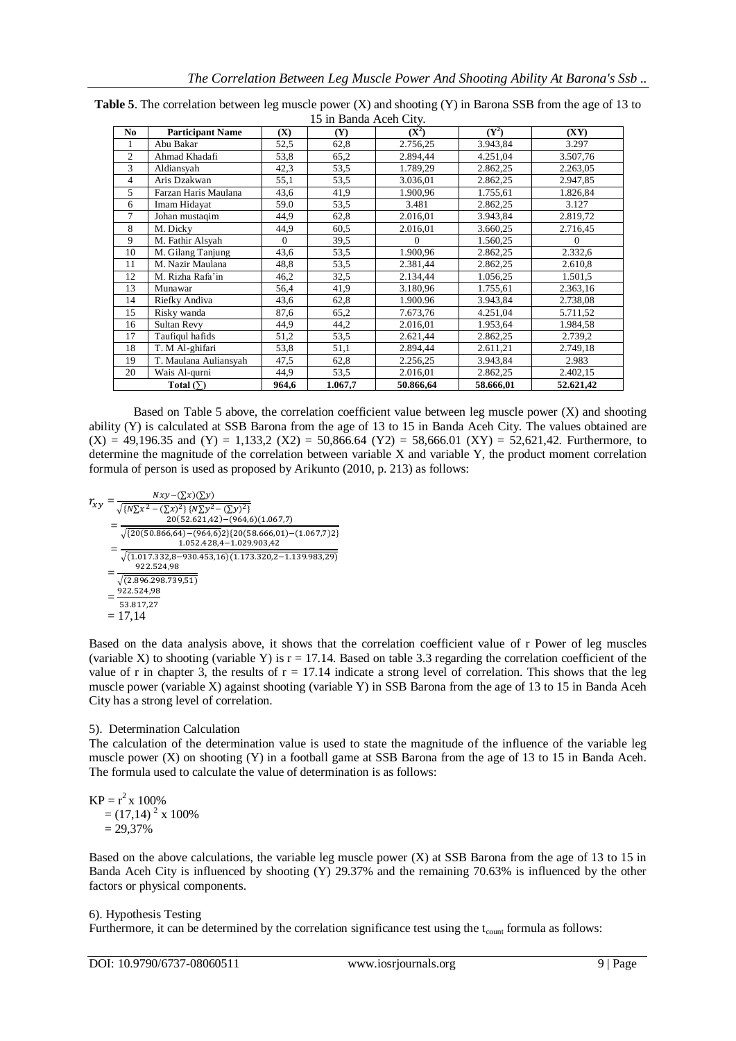| <b>Table 5.</b> The correlation between leg muscle power $(X)$ and shooting $(Y)$ in Barona SSB from the age of 13 to |
|-----------------------------------------------------------------------------------------------------------------------|
| 15 in Banda Aceh City.                                                                                                |

| No.            | <b>Participant Name</b> | (X)      | IJ III DANUA AUTH UNV.<br>(Y) | $(X^2)$   | $(Y^2)$   | (XY)      |
|----------------|-------------------------|----------|-------------------------------|-----------|-----------|-----------|
| 1              | Abu Bakar               | 52,5     | 62,8                          | 2.756,25  | 3.943,84  | 3.297     |
| $\overline{c}$ | Ahmad Khadafi           | 53,8     | 65,2                          | 2.894,44  | 4.251,04  | 3.507,76  |
| 3              | Aldiansyah              | 42,3     | 53,5                          | 1.789,29  | 2.862,25  | 2.263,05  |
| 4              | Aris Dzakwan            | 55,1     | 53,5                          | 3.036,01  | 2.862,25  | 2.947,85  |
| 5              | Farzan Haris Maulana    | 43,6     | 41,9                          | 1.900,96  | 1.755,61  | 1.826,84  |
| 6              | Imam Hidayat            | 59.0     | 53,5                          | 3.481     | 2.862,25  | 3.127     |
| 7              | Johan mustaqim          | 44,9     | 62,8                          | 2.016,01  | 3.943,84  | 2.819,72  |
| 8              | M. Dicky                | 44,9     | 60,5                          | 2.016,01  | 3.660,25  | 2.716,45  |
| 9              | M. Fathir Alsyah        | $\Omega$ | 39,5                          | $\Omega$  | 1.560,25  | $\Omega$  |
| 10             | M. Gilang Tanjung       | 43,6     | 53,5                          | 1.900,96  | 2.862,25  | 2.332,6   |
| 11             | M. Nazir Maulana        | 48,8     | 53,5                          | 2.381,44  | 2.862,25  | 2.610.8   |
| 12             | M. Rizha Rafa'in        | 46,2     | 32,5                          | 2.134,44  | 1.056,25  | 1.501,5   |
| 13             | Munawar                 | 56,4     | 41,9                          | 3.180,96  | 1.755,61  | 2.363,16  |
| 14             | Riefky Andiva           | 43,6     | 62,8                          | 1.900.96  | 3.943,84  | 2.738,08  |
| 15             | Risky wanda             | 87,6     | 65,2                          | 7.673,76  | 4.251,04  | 5.711,52  |
| 16             | Sultan Revv             | 44,9     | 44,2                          | 2.016,01  | 1.953,64  | 1.984,58  |
| 17             | Taufiqul hafids         | 51,2     | 53,5                          | 2.621,44  | 2.862,25  | 2.739,2   |
| 18             | T. M Al-ghifari         | 53,8     | 51,1                          | 2.894,44  | 2.611,21  | 2.749,18  |
| 19             | T. Maulana Auliansyah   | 47,5     | 62,8                          | 2.256,25  | 3.943,84  | 2.983     |
| 20             | Wais Al-qurni           | 44,9     | 53,5                          | 2.016,01  | 2.862,25  | 2.402,15  |
|                | Total $(\Sigma)$        | 964,6    | 1.067,7                       | 50.866,64 | 58.666,01 | 52.621,42 |

Based on Table 5 above, the correlation coefficient value between leg muscle power (X) and shooting ability (Y) is calculated at SSB Barona from the age of 13 to 15 in Banda Aceh City. The values obtained are  $(X) = 49,196.35$  and  $(Y) = 1,133,2$   $(X2) = 50,866.64$   $(Y2) = 58,666.01$   $(XY) = 52,621,42$ . Furthermore, to determine the magnitude of the correlation between variable X and variable Y, the product moment correlation formula of person is used as proposed by Arikunto (2010, p. 213) as follows:

$$
r_{xy} = \frac{Nxy - (\sum x)(\sum y)}{\sqrt{\{N\sum x^2 - (\sum x)^2\} \{N\sum y^2 - (\sum y)^2\}}}
$$
  
= 
$$
\frac{20(52.621.42) - (964.6)(1.067.7)}{\sqrt{\{20(50.866.64) - (964.6)2\} \{20(58.666,01) - (1.067.7)2\}}}
$$
  
= 
$$
\frac{1.052.428.4 - 1.029.903.42}{\sqrt{(1.017.332.8 - 930.453.16)(1.173.320.2 - 1.139.983.29)}}
$$
  
= 
$$
\frac{922.524.98}{\sqrt{(2.896.298.739.51)}}
$$
  
= 
$$
\frac{922.524.98}{53.817.27}
$$
  
= 17,14

Based on the data analysis above, it shows that the correlation coefficient value of r Power of leg muscles (variable X) to shooting (variable Y) is  $r = 17.14$ . Based on table 3.3 regarding the correlation coefficient of the value of r in chapter 3, the results of  $r = 17.14$  indicate a strong level of correlation. This shows that the leg muscle power (variable X) against shooting (variable Y) in SSB Barona from the age of 13 to 15 in Banda Aceh City has a strong level of correlation.

# 5). Determination Calculation

The calculation of the determination value is used to state the magnitude of the influence of the variable leg muscle power (X) on shooting (Y) in a football game at SSB Barona from the age of 13 to 15 in Banda Aceh. The formula used to calculate the value of determination is as follows:

 $KP = r^2 \times 100\%$  $=(17,14)^2 \times 100\%$  $= 29,37%$ 

Based on the above calculations, the variable leg muscle power  $(X)$  at SSB Barona from the age of 13 to 15 in Banda Aceh City is influenced by shooting (Y) 29.37% and the remaining 70.63% is influenced by the other factors or physical components.

# 6). Hypothesis Testing

Furthermore, it can be determined by the correlation significance test using the  $t_{\text{count}}$  formula as follows: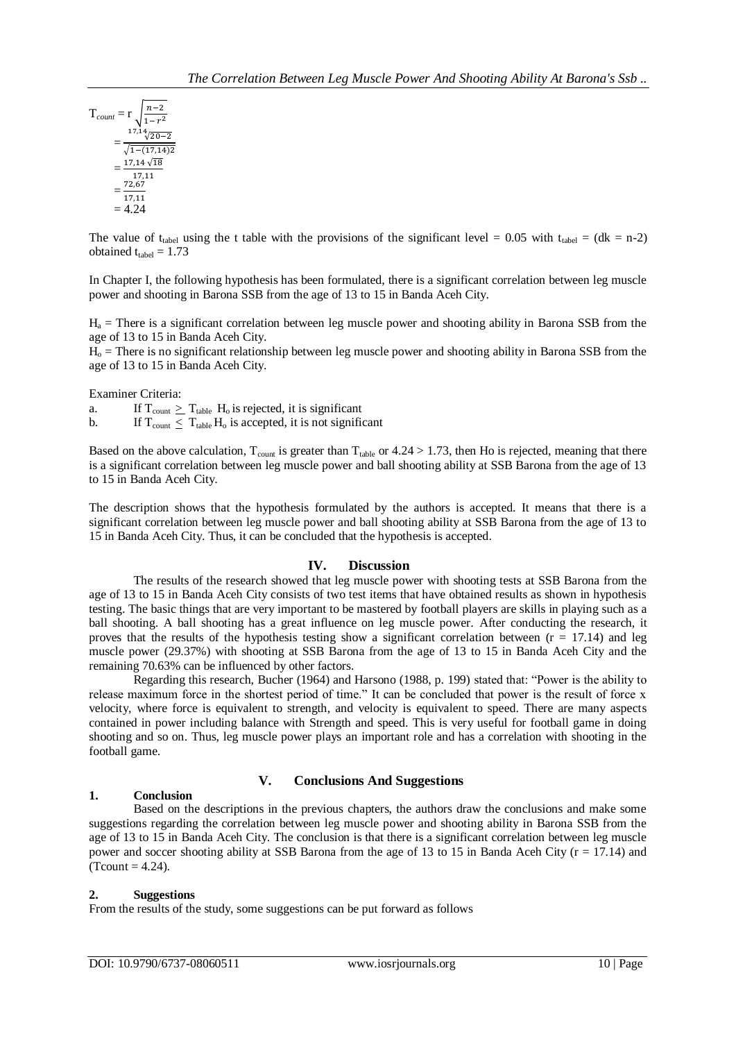$$
T_{count} = r \sqrt{\frac{n-2}{1-r^2}}
$$
  
= 
$$
\frac{1^{7,14}\sqrt{20-2}}{\sqrt{1-(17,14)2}}
$$
  
= 
$$
\frac{17,14\sqrt{18}}{17,11}
$$
  
= 
$$
\frac{72,67}{17,11}
$$
  
= 4.24

The value of t<sub>tabel</sub> using the t table with the provisions of the significant level = 0.05 with t<sub>tabel</sub> = (dk = n-2) obtained  $t_{table} = 1.73$ 

In Chapter I, the following hypothesis has been formulated, there is a significant correlation between leg muscle power and shooting in Barona SSB from the age of 13 to 15 in Banda Aceh City.

 $H<sub>a</sub>$  = There is a significant correlation between leg muscle power and shooting ability in Barona SSB from the age of 13 to 15 in Banda Aceh City.

 $H<sub>o</sub>$  = There is no significant relationship between leg muscle power and shooting ability in Barona SSB from the age of 13 to 15 in Banda Aceh City.

Examiner Criteria:

a. If  $T_{\text{count}} \geq T_{\text{table}}$  H<sub>o</sub> is rejected, it is significant

b. If  $T_{\text{count}} \leq T_{\text{table}} H_0$  is accepted, it is not significant

Based on the above calculation,  $T_{\text{count}}$  is greater than  $T_{\text{table}}$  or 4.24 > 1.73, then Ho is rejected, meaning that there is a significant correlation between leg muscle power and ball shooting ability at SSB Barona from the age of 13 to 15 in Banda Aceh City.

The description shows that the hypothesis formulated by the authors is accepted. It means that there is a significant correlation between leg muscle power and ball shooting ability at SSB Barona from the age of 13 to 15 in Banda Aceh City. Thus, it can be concluded that the hypothesis is accepted.

# **IV. Discussion**

The results of the research showed that leg muscle power with shooting tests at SSB Barona from the age of 13 to 15 in Banda Aceh City consists of two test items that have obtained results as shown in hypothesis testing. The basic things that are very important to be mastered by football players are skills in playing such as a ball shooting. A ball shooting has a great influence on leg muscle power. After conducting the research, it proves that the results of the hypothesis testing show a significant correlation between  $(r = 17.14)$  and leg muscle power (29.37%) with shooting at SSB Barona from the age of 13 to 15 in Banda Aceh City and the remaining 70.63% can be influenced by other factors.

Regarding this research, Bucher (1964) and Harsono (1988, p. 199) stated that: "Power is the ability to release maximum force in the shortest period of time." It can be concluded that power is the result of force x velocity, where force is equivalent to strength, and velocity is equivalent to speed. There are many aspects contained in power including balance with Strength and speed. This is very useful for football game in doing shooting and so on. Thus, leg muscle power plays an important role and has a correlation with shooting in the football game.

#### **V. Conclusions And Suggestions 1. Conclusion**

Based on the descriptions in the previous chapters, the authors draw the conclusions and make some suggestions regarding the correlation between leg muscle power and shooting ability in Barona SSB from the age of 13 to 15 in Banda Aceh City. The conclusion is that there is a significant correlation between leg muscle power and soccer shooting ability at SSB Barona from the age of 13 to 15 in Banda Aceh City ( $r = 17.14$ ) and  $(Tcount = 4.24)$ .

# **2. Suggestions**

From the results of the study, some suggestions can be put forward as follows